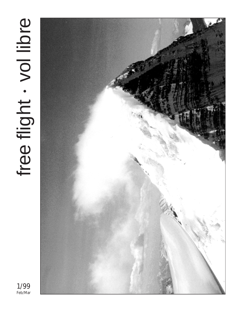# free flight . vol libre free flight vol libre



1/99 Feb/Mar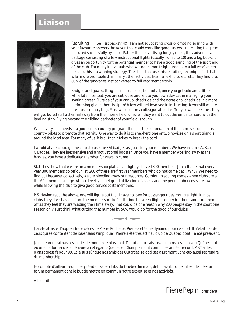## **Liaison**



*Recruiting* Sell 'six packs'? NO!, I am not advocating cross-promoting soaring with your favourite brewery; however, that could work like gangbusters. I'm relating to a practice used successfully by clubs. Rather than advertising for 'joy rides', they advertise a package consisting of a few instructional flights (usually from 5 to 10) and a log book. It gives an opportunity for the potential member to have a good sampling of the sport and of the club. For many individuals who will not commit sight unseen to a full year's membership, this is a winning strategy. The clubs that use this recruiting technique find that it is far more profitable than many other activities, like mall exhibits, etc. etc. They find that 80% of the 'packages' get converted to full year membership.

*Badges and goal setting* In most clubs, but not all, once you get solo and a little while later licensed, you are cut loose and left to your own devices in managing your soaring career. Outside of your annual checkride and the occasional checkride in a more performing glider, there is zippo! A few will get involved in instructing, fewer still will get the cross-country bug. Most will do as my colleague at Kodak, Tony Lowatchee does; they

will get bored stiff a thermal away from their home field, unsure if they want to cut the umbilical cord with the landing strip. Flying beyond the gliding perimeter of your field is tough.

What every club needs is a good cross-country program. It needs the cooperation of the more seasoned crosscountry pilots to promote that activity. One way to do it is to shepherd one or two novices on a short triangle around the local area. For many of us, it is all that it takes to break the cord.

I would also encourage the clubs to use the FAI badges as goals for your members. We have in stock A, B, and C Badges. They are inexpensive and a motivational booster. Once you have a member working away at the badges, you have a dedicated member for years to come.

Statistics show that we are on a membership plateau at slightly above 1300 members. Jim tells me that every year 300 members go off our list, 200 of these are first year members who do not come back. Why? We need to find out because, collectively, we are bleeding away our resources. Comfort in soaring comes when clubs are at the 60+ members range. At that level, you get good utilization of assets, and the per member costs are low while allowing the club to give good service to its members.

P.S. Having read the above, one will figure out that I have no love for passenger rides. You are right! In most clubs, they divert assets from the members, make 'earth' time between flights longer for them, and turn them off as they feel they are wasting their time away. That could be one reason why 200 people stay in the sport one season only. Just think what cutting that number by 50% would do for the good of our clubs!

J'ai été attristé d'apprendre le décès de Pierre Rochette. Pierre a été une dynamo pour ce sport. Il n'était pas de ceux qui se contentent de jouer sans s'impliquer. Pierre a été très actif au club de Québec dont il a été président.

Je ne reprendrai pas l'essentiel de mon texte plus haut. Depuis deux saisons au moins, les clubs du Québec ont eu une performance supérieure à cet égard. Québec et Champlain ont connu des années record. MSC a des plans agressifs pour 99. Et je suis sûr que nos amis des Outardes, relocalisés à Bromont vont eux aussi reprendre du membership.

Je compte d'ailleurs réunir les présidents des clubs du Québec fin mars, début avril. L'objectif est de créer un forum permanent dans le but de mettre en commun notre expertise et nos activités.

A bientôt.

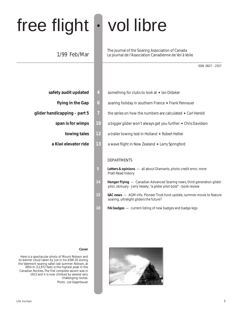# free flight • vol libre

## 1/99 Feb/Mar

The journal of the Soaring Association of Canada Le journal de l'Association Canadienne de Vol à Voile

ISSN 0827 – 2557

- **safety audit updated** 4 something for clubs to look at ♦ Ian Oldaker
	-
- - -
	-
- 
- **flying in the Gap 6** soaring holiday in southern France ✦ *Frank Pennauer*
- **glider handicapping part 5 7 1** the series on how the numbers are calculated ♦ Carl Herold
	- **span is for wimps 10** a bigger glider won't always get you further ✦ *Chris Davidson*
		- **towing tales 12** a trailer towing test in Holland ✦ *Robert Hellier*
	- **a Kiwi elevator ride 13** a wave flight in New Zealand ✦ *Larry Springford*

#### DEPARTMENTS

- **5** *Letters & opinions*  all about Diamants, photo credit error, more Pratt-Read history
- **14** *Hangar Flying*  Canadian Advanced Soaring news, third generation glider pilot, obituary - Jerry Vesely, "a glider pilot bold" - book review
- **15** *SAC news*  AGM info, Pioneer Trust fund update, summer movie to feature soaring, ultralight gliders the future?
- 18 **FAI badges** current listing of new badges and badge legs



#### **Cover**

Here is a spectacular photo of Mount Robson and its banner cloud taken by Joe in his ASW-20 during the Valemont soaring safari last summer. Robson, at 3954 m (12,972 feet) is the highest peak in the Canadian Rockies. The first complete ascent was in 1913 and it is now climbed by several very challenging routes. *Photo: Joe Gegenbauer*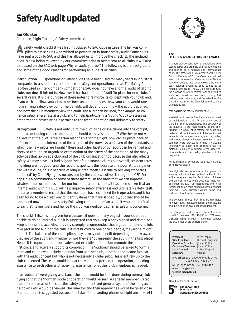# *Safety Audit updated*

#### **Ian Oldaker**

Chairman, Flight Training & Safety committee

Safety Audit checklist was first introduced to SAC clubs in 1992. The list was com piled to assist clubs who wished to perform an in-house safety audit. Some clubs have sent a copy to SAC and this has allowed us to improve the checklist. The updated audit is now being reviewed by our committee prior to being sent to all clubs. It will also be posted on the SAC web page. Why an audit you ask? The following is the background and some of the good reasons for performing an audit at all clubs.

**Introduction** Operations or Safety audits have been used for many years in industrial companies to assess their performance in safety and operational areas. The Safety Audit is often used in inter-company competitions. SAC does not have a formal audit of gliding clubs, nor does it intend to. However it has had a form of "audit" in place for new clubs for several years. It is the purpose of these notes to reinforce its concept with your club and, if you wish, to allow your club to perform an audit to assess how your club would rate from a flying safety viewpoint. The benefits will depend upon how the audit is applied, and how the club members view the audit. The audit can be used, for example, to enhance safety awareness at a club, and to help (particularly a "young" club) to assess its organizational structure as it pertains to the flying operation and ultimately to safety.

**Background** Safety is not only up to the pilot as he or she climbs into the cockpit, but is a continuing concern for us all, or should we say, "should be"? Whether or not we believe that the pilot is the person responsible for the flight, how can all pilots have an influence on the maintenance of the aircraft, of the runways, and even of the standards to which the new pilots are taught? These and other facets of our sport can be verified and checked through an organized examination of the safety of the operation, of the many activities that go on at a club, and of the club organization too because this also affects safety. We may have just had a "good" year for insurance claims but overall, accident rates in gliding are not good, and the record is spotty. Is this because of a poor attitude generally within clubs, or is it because of long winter layoffs? Is it due to relaxing standards "enforced" by Chief Flying Instructors and by the club executives through the CFI? Perhaps it is a combination of some of these factors. On the basis that we can improve, whatever the current reasons for our incidents and accidents, it has been shown that an internal audit within a club will help improve safety awareness and ultimately safety itself. It is also a wonderful record that the members have examined their operation, and it has been found to be a great way to identify items that have slipped by, but that should be addressed now to improve safety. Following completion of an audit, it would be difficult to say that its members and hence the club was negligent, so far as safety is concerned.

The checklist itself is not given here because it goes to many pages! If your club does decide to do an internal audit, it is suggested that you keep a copy signed and dated, and keep it in a safe place. Also, it is very strongly recommended that a good number of pilots take part in the audit at the club. If it is restricted to one or two people, they alone might benefit. The balance of the club's pilots may or may not benefit depending on how aware they are of the audit and whether or not they are "buying-into" the audit in the first place! Hence it is important that the leaders and executive of the club promote the audit in the first place, and actively support its completion. The "auditors" should be asked to form a team and could even include a person from another club, or perhaps someone familiar with the audit concept but who is not necessarily a glider pilot. This is entirely up to the club concerned. The team would look at the various aspects of the operation, providing assistance to each other and receiving assistance from other club members as needed.

If an "outsider" were giving assistance, the audit would best be done during normal club flying so that the "normal" mode of operation would be seen. As a team member visited the different areas of the club, the safety equipment and general layout of the hangars, tie-downs, etc. would be viewed. The runways and their approaches would be given close attention (this is suggested because the takeoff and landing phases of flight are  $\Rightarrow$  p18



#### **The SOARING ASSOCIATION of CANADA**

is a non-profit organization of enthusiasts who seek to foster and promote all phases of gliding and soaring on a national and international basis. The association is a member of the Aero Club of Canada (ACC), the Canadian national aero club representing Canada in the Fédération Aéronautique Internationale (FAI), the world sport aviation governing body composed of national aero clubs. The ACC delegates to SAC the supervision of FAI-related soaring activities such as competition sanctions, issuing FAI badges, record attempts, and the selection of a Canadian team for the biennial World soaring championships.

**free flight** is the official journal of SAC.

Material published in free flight is contributed by individuals or clubs for the enjoyment of Canadian soaring enthusiasts. The accuracy of the material is the responsibility of the contributor. No payment is offered for submitted material. All individuals and clubs are invited to contribute articles, reports, club activities, and photos of soaring interest. An e-mail in any common word processing format is welcome (preferably as a text file), or send a fax. All material is subject to editing to the space requirements and the quality standards of the magazine.

Prints in B&W or colour are required. No slides or negatives please.

free flight also serves as a forum for opinion on soaring matters and will publish letters to the editor as space permits. Publication of ideas and opinion in free flight does not imply endorsement by SAC. Correspondents who wish formal action on their concerns should contact their SAC Zone Director whose name and address is listed in the magazine.

The contents of free flight may be reprinted; however , SAC requests that both the magazine and the author be given acknowledgement.

For change of address and subscriptions for non-SAC members (\$26/\$47/\$65 for 1/2/3 years, US\$26/\$47/\$65 in USA & overseas), contact the SAC office at the address below.

**President** Pierre Pepin<br>**Vice President** Richard Long **Executive Director Corporate Treasurer** Jim McCollum<br> **Legal Counsel** Robert Wappe **Secretary** vacant

**Richard Longhurst**<br>Jim McCollum **Legal Counsel** Robert Wappel

**SAC office:** 101 – 1090 Ambleside Drive Ottawa, ON K2B 8G7

tel: (613) 829-0536 fax: 829-9497 e-mail: **sac@sac.ca** website: **www.sac.ca**

Deadline for contributions:

**5 th**

**January, March May, July September, November**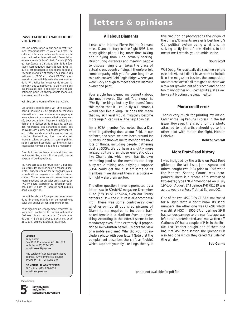#### **L'ASSOCIATION CANADIENNE DE VOL À VOILE**

est une organisation à but non lucratif formée d'enthousiastes et vouée à l'essor de cette activité sous toutes ses formes, sur le plan national et international. L'association est membre de l'Aéro-Club du Canada (ACC), qui représente le Canadaau sein de la Fédération Aéronautique Internationale (FAI), laquelle est responsable des sports aériens à l'échelle mondiale et formée des aéro-clubs nationaux. L'ACC a confié à l'ACVV la supervision des activités vélivoles aux normes de la FAI, telles les tentatives de record, la sanction des compétitions, la délivrance des insignes,ainsi que la sélection d'une équipe nationale pour les championnats mondiaux biennaux de vol à voile.

**vol libre** est le journal officiel de l'ACVV.

Les articles publiés dans vol libre proviennent d'individus ou de groupes de vélivoles bienveillants. Leur contenu n'engage que leurs auteurs. Aucune rémunération n'est versée pour ces articles. Tous sont invités à participer à la réalisation du magazine, soit par des reportages, des échanges d'idées, des nouvelles des clubs, des photos pertinentes, etc. L'idéal est de soumettre ces articles par courrier électronique, bien que d'autres moyens soient acceptés. Ils seront publiés selon l'espace disponible, leur intérêt et leur respect des normes de qualité du magazine.

Des photos en couleurs ou noir et blanc seront appréciées, mais s'il vous plaît, pas de négatifs ni de diapositives.

ciation. Toute personne qui désire faire des représentations sur un sujet précis auprès de dans le magazine.

duits librement, mais le nom du magazine et

Pour signaler un changement d'adresse ou

#### **EDITOR**

Tony Burton Box 1916 Claresholm, AB T0L 0T0 tel & fax (403) 625-4563 e-mail **free-flt@agt.net**

Any service of Canada Post to above address. Any commercial courier service to 335 - 50 Avenue W

**COMMERCIAL ADVERTISING** SAC office (613) 829-0536 e-mail **sac@sac.ca**

> **janvier, mars mai, juillet septembre, novembre**

Date limite:

vol libre sert aussi de forum et on y publiera les lettres des lecteurs selon l'espace disponible. Leur contenu ne saurait engager la responsabilité du magazine, ni celle de l'Assol'ACVV devra s'adresser au directeur régional, dont le nom et l'adresse sont publiés

Les articles de vol libre peuvent être reprocelui de l'auteur doivent être mentionnés.

s'abonner, contacter le bureau national à l'adresse ci-bas. Les tarifs au Canada sont de 26\$, 47\$ ou 65\$ pour 1, 2 ou 3 ans, et de 26\$US, 47\$US ou 65\$US à l'extérieur.

owner and pilot.

Your article has piqued my curiosity about the much-revered Diamant. Your slogan is, "We fly like kings but pay like bums". Does this mean that if I could fly a Diamant, I would feel like a king? Or does this mean that my skill level would magically become more regal? I can use all the help I can get.

**All about Diamants**

**letters & opinions**

I read with interest Pierre Pepin's *Diamant meets Diamant* story in *free flight 5/98*. Like many glider pilots, I log more time talking about flying than I do actually soaring. Driving long distances and meeting people to discuss flying often takes the place of actual cross-country flying. I therefore felt some empathy with you for your long drive to a rain-soaked Bald Eagle Ridge, where you were lucky enough to meet a fellow Diamant

I'm a SOSA member. You noted that a Diamant is gathering dust at our field. In our defence, and since we have been around for 50 years, it behooves me to mention we have lots of things, including people, gathering dust at SOSA. We do have a slightly more relaxed culture than those energetic clubs like Champlain, which even has its own swimming pool so the members can keep busy while talking about flying. I suppose SOSA could get the dust off some of its members if we dunked them in a *piscine* it might wake them up, too.

The other question I have is prompted by a letter I saw in SOARING magazine, December 1972. (Yes, 1972. At SOSA, even our library gathers dust — the culture is all-encompassing.) There was some controversy over whether or not all published pictures of Diamants are required to include a halfnaked female à la Madison Avenue advertising. According to the letter, it seems to be mandatory, even if "the extremely ill proportioned belly-button bearer ... blocks the view of a noble sailplane". Why did you not include a photo with your letter? Note that the complainant describes the craft as "noble", which supports your 'fly like kings' theory. Is this tradition of photographs the origin of the phrase, "Diamants are a girl's best friend"? Our political system being what it is, I'm striving to fly like a Prime Minister. In the meantime, I remain, your humble scribe,

#### **Doug Scott**

*Well Doug, Pierre actually did send me a photo (see below), but I didn't have room to include it in the magazine; besides, the composition and content weren't all that good as there was a tow car growing out of his head and he had too many clothes on ... perhaps it's just as well he wasn't blocking the view. editor*

#### **Photo credit error**

Thanks very much for printing my article, *Catchin' the Big Kahuna Express*, in the last issue. However, the credit for the photo attached to that article should go to the other pilot with me on the flight, Hicham Hobeika.

#### **Behzad Schroff**

#### **More Pratt-Read history**

I was intrigued by the article on Pratt-Read gliders in the last issue. John Agnew and others bought two P-Rs prior to 1946 when the Montreal Soaring Council was incorporated. There is a record of "a Pratt-Read two-seater, type LNE-1" mentioned on 8 July 1946. On August 17, I believe, P-R #31519 was aerotowed by a Puss Moth at St Jean, QC.

One of the two MSC P-Rs, CF-ZAN was traded for a Tiger Moth (I don't know its serial number). The other one was CF-ZBJ which was still at MSC in 1956-57, or perhaps 59. It had serious damage to the rear fuselage, was left outside, deteriorated, and was written off. Gatineau GC had a couple of P-Rs in the 50s-60s. Leo Schober bought one of them and had it at MSC for a season. The Quebec club also had one which they called, "La Baleine" (the Whale).

#### **Bob Gairns**

photo not available for pdf file

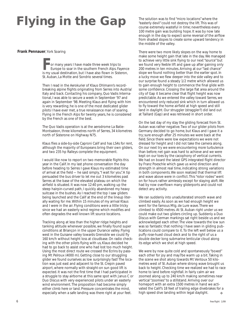# **Flying in the Gap**

#### **Frank Pennauer**, York Soaring

or many years I have made three week trips to Europe to soar in the southern French Alps. Fayence is my usual destination, but I have also flown in Sisteron, St. Auban, La Motte and Sondrio several times.

Then I read in the *Aerokurier* of Klaus Ohlmann's recordbreaking alpine flights originating from Serres into Austria/ Italy and back. Contacting his company, Quo Vadis International, I was able to secure a week in September '97 and again in September '98. Meeting Klaus and flying with him is very rewarding; he is one of the most dedicated glider pilots I have ever met, a true renaissance man of soaring. Flying in the French Alps for twenty years, he is considered by the French as one of the best.

The Quo Vadis operation is at the aerodrome La Batie-Montsaleon, three kilometres north of Serres, 34 kilometres north of Sisterone on Highway N75.

Klaus flies a side-by-side Caproni Calif and has LS4s for rent, although the majority of Europeans bring their own gliders, and two 235 hp Ralleys complete the equipment.

I would like now to report on two memorable flights this year in the Calif. In my last phone conversation the day before heading to Serres I gave Klaus my estimated time of arrival at the field — he said simply, "I wait for you". A tip persuaded the bus driver to let me out 3 kilometres past Serres at the base of the elevated plateau on which the airfield is situated. It was now 12:40 pm, walking up the steep hairpin-curved path, I quickly abandoned my heavy suitcase in the bushes. As I reached the top I saw gliders being launched and the Calif at the end of the lineup literally waiting for me. Within 15 minutes of my arrival Klaus and I were in the air. Flying conditions were a little tricky since we had an easterly wind regime which modifies and often degrades the well known lift source locations.

Tracking along at less than the higher ridge heights and tanking altitude whenever possible, we finally found super conditions at Briançon in the upper Durance valley. Flying west in the Guisane valley towards Grenoble we could fly 160 km/h without height loss at cloudbase. On radio checking with the other pilots flying with us, Klaus decided he had to go back to assist one who had lost too much height. Using the most direct route we crossed the Ecrins by passing Mt Pelroux (4000 m). Getting close to our struggling glider we found ourselves as low surprisingly fast! The location was just east and adjacent to the St. Crepin paved airport, where normally with straight-on sun good lift is expected. It was not the first time that I had participated in a struggle to stay airborne at this same spot with Janus C or Duo Discus with very experienced pilots under an easterly wind environment. The proposition had become simply either climb here or land. Pressure concentrates the mind, especially when a safe landing was there right at your feet.

The solution was to find "micro locations" where the "easterly devil" could not destroy the lift. This was of course extremely wasteful in time; nevertheless every 100 metre gain was building hope. It was by now late enough in the day to expect some reversal of the airflow from shaded slopes to create some upward tendency in the middle of the valley.

There were two more likely slopes on the way home to make some height gain that late in the day. We managed to achieve very little sink flying to our next "source" but we found very feeble lift and gave up after gaining only 200 metres in ten minutes. Arriving at our "last chance" slope we found nothing better than the earlier spot. In a lucky move we flew deeper into the side valley and to our surprise found a steady 1/2 metre which allowed us to gain enough height to commence the final glide with some confidence. Crossing the large flat area around the city of Gap it became clear that flight height was now predictable. As we entered the valley toward Serres, we encountered only reduced sink which in turn allowed us to fly toward the home airfield at high speed and still land in daylight. Our struggler (straggler?) did land out at Taillard (Gap) and was retrieved in short order.

On the last day of my stay the gliding forecast from St. Auban was rather negative. Two of our glider pilots from Germany decided to go home, but Klaus and I gave it a try; sure enough after 25 minutes we were back at the field. Since there were low expectations we were not dressed for height and I did not take the camera along. On our next try we were encountering more turbulence than before; net gain was hard to achieve and we were kept on our toes by the cacophony of vertical currents. We had on board the latest GPS integrated flight director by Franz Poeschle which gave us wind direction and strength in almost real time, indicating strong variations in both components. We soon realized that thermal lift and wave above were in conflict. This "rotor rodeo" went on for hours rather aimlessly except for staying aloft. We had by now overflown many gliderports and could not detect any activity.

We ran suddenly into unadulterated smooth wave and climbed easily. As soon as we had enough height we went for the famous Mtg. de Lure wave. There we climbed to 4500 metres. At St. Auban right under us we could make out two gliders circling up. Suddenly a Duo Discus with German markings sat right beside us and we acknowledged each other. The view towards the low sun was so fantastic that nothing I have seen in gliding publications could compare to it. To the left well below us a puffy rose-hued cloud deck and to the right of us a double decker long submarine lenticular cloud along its edge which we shot at high speed.

We were by now quite cold and spontaneously "boxed" each other for joy and may7be warm up a bit. Taking in the scene we shot along towards Mt Ventoux 50 kilometres west of St. Auban where strong wave brought us back to height. Checking time we realized we had to race home to land before nightfall. In fairly calm air we zoomed along up to 240 km/h making sometimes near vertical "zoomies" to a stillstand. Arriving over our homeport with an extra 1500 metres in hand we activated the Calif's 18 feet of trailing edge divebrakes for a high speed dive landing within legal daylight. ❖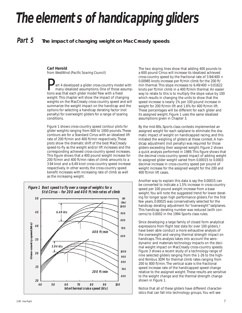*The elements of handicapping gliders*

## *Part 5* **The impact of changing weight on MacCready speeds**

#### **Carl Herold**

from *WestWind (Pacific Soaring Council)*

**Part 4 developed a glider cross-country model with**<br>many idealized assumptions. One of those assump-<br>tions was that each glider model flew with a fixed tions was that each glider model flew with a fixed weight. This chapter will show the impact of changing weights on the MacCready cross-country speed and will summarize the weight impact on the handicap and the options for selecting a handicap derating factor (not penalty) for overweight gliders for a range of soaring conditions.

Figure 1 shows cross-country speed contour plots for glider weights ranging from 600 to 1000 pounds. These contours are for a Standard Cirrus with an idealized lift rate of 200 ft/min and 400 ft/min respectively. These plots show the dramatic shift of the best MacCready speed-to-fly as the weight and/or lift increases and the corresponding achieved cross-country speed increases. This figure shows that a 400 pound weight increase for 200 ft/min and 400 ft/min rates of climb amounts to a 3.94 knot and a 6.49 knot cross-country speed increase respectively. In other words, the cross-country speed benefit increases with increasing rate of climb as well as the increasing weight.



The two sloping lines show that adding 400 pounds to a 600 pound Cirrus will increase its idealized achieved cross-country speed by the fractional rate of 3.94/400 = 0.00985 knots increase per ft/min climb for the 200 ft/ min thermal. This slope increases to  $6.49/400 = 0.01622$ knots per ft/min climb in a 400 ft/min thermal. An easier way to relate to this is to multiply the slope value by 100 which results in changing the units to show that the speed increase is nearly 1% per 100 pound increase in weight for 200 ft/min lift and 1.6% for 400 ft/min lift. These percentages will be different for each glider and its assigned weight. Figure 1 uses the same idealized assumptions given in Chapter 3.

By the mid-80s, Sports class contests implemented an assigned weight for each sailplane to eliminate the dramatic impact of weight on handicapped racing, and this initiated the weighing of gliders at these contest. A handicap adjustment (not penalty) was required for those gliders exceeding their assigned weight. Figure 2 shows a quick analysis performed in 1989. This figure shows that the decimal cross-country speed impact of adding weight to assigned glider weight varied from 0.00015 to 0.0003 decimal increase in cross-country speed per pound of weight increase for the assigned weight for the 200 and 400 ft/min lift cases.

Another way to explain this data is say the 0.00015 can be converted to indicate a 1.5% increase in cross-country speed per 100 pound weight increase from a base weight. You will note the suggested trend for lower derating for longer span high performance gliders. For the first few years, 0.00025 was conservatively selected for the handicap derating adjustment for "overweight" sailplanes. This handicap derating number was reduced (with concerns) to 0.0002 in the 1994 Sports class rules.

Since developing a large family of closed form analytical expressions from flight test data for over 100 gliders, I have been able conduct a more exhaustive analysis of the overweight and varying thermal strength impact on handicaps. This analysis takes into account the aerodynamic and materials technology impacts on the decimal weight impact on MacCready cross-country speeds. Figure 3 shows a recent study of a technology range of nine selected gliders ranging from the 1-26 to the highend Nimbus 3DM for thermal climb rates ranging from 200 to 800 ft/min. The vertical scale is the fractional speed increase rate of the handicapped speed change relative to the assigned weight. These results are sensitive to the weight change and the thermal strength change shown in Figure 1.

Notice that all of these gliders have different characteristics that can fall into technology groups. You will see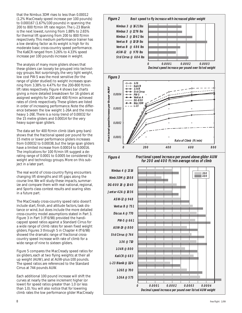that the Nimbus 3DM rises to less than 0.00012 (1.2% MacCready speed increase per 100 pounds) to 0.000167 (1.67%/100 pounds) in spanning the 200 to 800 ft/min lift rate region. The L-23 Blanik is the next lowest, running from 1.88% to 2.65% for thermal lift spanning from 200 to 800 ft/min respectively. This medium performance trainer has a low derating factor as its weight is high for its moderate basic cross-country speed performance. The Ka6CR ranged from 3.26% to 4.33% speed increase per 100 pounds increase in weight.

The analysis of many more gliders shows that these gliders can loosely be grouped into technology groups. Not surprisingly, the very light weight, low cost PW-5 was the most sensitive (for the range of glider studied) to weight increases spanning from 3.38% to 4.47% for the 200-800 ft/min lift rates respectively. Figure 4 shows bar charts giving a more detailed breakdown for 16 gliders at assigned weights for 200 and 400 ft/min achieved rates of climb respectively. These gliders are listed in order of increasing performance. Note the difference between the low weight 1-26A and the more heavy 1-26E. There is a noisy trend of 0.00032 for the 15 metre gliders and 0.00014 for the very heavy super-span gliders.

The data set for 400 ft/min climb (dark grey bars) shows that the fractional speed per pound for the 15 metre or lower performance gliders increases from 0.00032 to 0.00038, but the large span gliders have a limited increase from 0.00014 to 0.00016. The implications for 100 ft/min lift suggest a derating range of 0.0001 to 0.0005 be considered by weight and technology groups. More on this subject in a later part.

The real world of cross-country flying encounters changing lift strengths and lift gaps along the course line. We will study these impacts, summarize and compare them with real national, regional, and Sports class contest results and soaring sites in a future part.

The MacCready cross-country speed ratio doesn't include start, finish, and altitude factors, task distance or wind, but does include the more detailed cross-country model assumptions stated in Part 3. Figure 3 in Part 3 *(ff 6/98)* provided the handicapped speed ratios against a Standard Cirrus for a wide range of climb rates for seven fixed weight gliders. Figures 3 through 5 in Chapter 4 *(ff 6/98)* showed the dramatic range of fractional crosscountry speed increase with rate of climb for a wide range of nine to sixteen gliders.

Figure 5 compares the MacCready speed ratios for six gliders, each at two flying weights: at their all up weight (AUW), and at AUW-plus-100 pounds. The speed ratios are referenced to the Standard Cirrus at 744 pounds AUW.

Each additional 100 pound increase will shift the curves at nearly the same increment higher (or lower) for speed ratios greater than 1.0 (or less than 1.0). You will also notice that for lowering climb rates the low performance glider MacCready

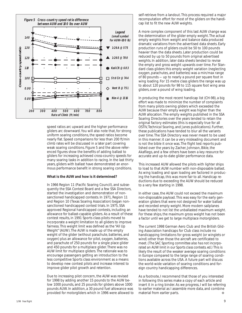

speed ratios arc upward and the higher performance gliders arc downward. You will also note that, for strong uniform soaring conditions, the speed ratios become nearly flat. Speed comparisons for less than 200 ft/min climb rates will be discussed in a later part covering weak soaring conditions. Figure 5 and the above referenced figures show the benefits of adding ballast to gliders for increasing achieved cross-country speeds for many soaring tasks in addition to racing. In the last thirty years, gliders with ballast have demonstrated an enormous performance benefit in strong soaring conditions.

#### **What is the AUW and how is it determined?**

In 1966 Region 11 (Pacific Soaring Council), and subsequently the SSA Contest Board and a few SSA Directors, started the investigation and demonstration of nonsanctioned handicapped contests. In 1971, Region 11 and Region 10 (Texas Soaring Association) began nonsanctioned handicapped contest trials. In 1975, SSA approved Regional handicapped contests, including an allowance for ballast-capable gliders. As a result of these contest results, in 1991 Sports class pilots moved to incorporate a weight limitation to all gliders to improve fairness. This weight limit was defined as the "All Up Weight" (AUW). The AUW is made up of the empty weight of the glider (without parachute, batteries, and oxygen) plus an allowance for pilot, oxygen, batteries, and parachute of 250 pounds for a single place glider and 450 pounds for a multiplace glider. There was no AUW limit for multiplace gliders. The rationale was to encourage passengers getting an introduction to the less competitive Sports class environment as a means to develop new contest pilots and increase interest to improve glider pilot growth and retention.

Due to increasing pilot concern, the AUW was revised for 1998 by adding another 15 pounds to the AUW below 1000 pounds, and 25 pounds for gliders above 1000 pounds AUW. In addition, a 30 pound fuel allowance was provided for motorgliders which in 1996 were allowed to self-retrieve from a landout. This process required a major recomputation effort for most of the gliders on the handicap list to fit the new AUW weights.

A more complex component of this last AUW change was the determination of the glider empty weight. The actual empty weights from weight and balance data produced dramatic variations from the advertised data sheets. Early production runs of gliders could be 50 to 100 pounds heavier than the data sheets. Later production could be reduced by up to 50 pounds from original advertised weights. In addition, later data sheets tended to revise the empty and gross weight upwards over time. For Standard class gliders this empty weight variation (neglecting oxygen, parachutes, and batteries) was a min/max range of 80 pounds — up to nearly a pound per square foot in wing loading. For 15 metre class gliders the range was up to about 120 pounds for 98 to 115 square foot wing area gliders, over a pound of wing loading.

In producing the most recent handicap list (CH-98), a big effort was made to minimize the number of complaints from many pilots owning gliders which exceeded the AUW because their empty weight was higher than the AUW allocation. The empty weights published in the SSA Soaring Directories over the years tended to retain the original factory estimates (this is especially true for all *OSTIV, Technical Soaring*, and *Janes* publications). Further, these publications have tended to blur all the variants over time. The SSA Directory was never meant to be used in this manner; it can be a very misleading document and is not the bible it once was. The flight test reports published over the years by Zacher, Johnson, Bikle, the Akafliegs, and a few others have been a key resource for accurate and up-to-date glider performance data.

This increased AUW allowed the pilots with lighter ships to load to that AUW number with non-disposable ballast. As wing loading and span loading are factored in producing the handicap, this was more fair to all. Handicap reductions due to exceeding the AUW should be reduced to a very few starting in 1998.

In either case, the AUW could not exceed the maximum non-disposable payload. This was easy for the early generation gliders that were not designed for water ballast and recorded empty weight. More modern sailplanes have tended to not list the unballasted maximum weight. For these ships, the maximum gross weight has not been a factor until we get to large multiplace motorgliders.

The current 1998 German Aero Club and the British Gliding Association handicaps for Club class include no handicapping limitations for gross weight (or winglets or wind) other than those the aircraft are certificated to meet. *(The SAC Sporting committee also has not incorporated an AUW limit in our Sports class contests. ed.)* This is likely the result of the weaker average soaring conditions in Europe compared to the large range of soaring conditions available across the USA. A future part will discuss the world-wide variation of soaring conditions and foreign country handicapping differences.

As a footnote, I recommend that those of you interested in following this series make a copy of each article and insert it in a ring binder. As we progress, I will be referring to earlier material as I assemble more data, and combine material from earlier parts. ❖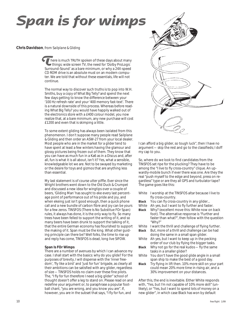# **Span is for wimps**

#### **Chris Davidson**, from *Sailplane & Gliding*

here is much TRUTH spoken of these days about many things: wide screen TV, the need for 'Dolby ProLogic There is much TRUTH spoken of these days about many<br>things: wide screen TV, the need for 'Dolby ProLogic<br>Surround-Sound' as a bare minimum, or why a 24X-speed CD ROM drive is an absolute must on an modern computer. We are told that without these essentials, life will not continue.

The normal way to discover such truths is to pop into W.H. Smiths, buy a copy of *What Big Telly?* and spend the next few days getting to know the difference between your '100 Hz refresh rate' and your '400 memory fast-text'. There is a natural downside of this process. Whereas before reading *What Big Telly?* you would have happily walked out of the electronics store with a £400 colour model, you now realize that, at a bare minimum, any new purchase will cost £1200 and even that is skimping a little.

To some extent gliding has always been isolated from this phenomenon. I don't suppose many people read *Sailplane & Gliding* and then order an ASW-27 from your local dealer. Most people who are in the market for a glider tend to have spent at least a few winters having the glamour and glossy pictures being frozen out of them. They know that you can have as much fun in a Ka6 as in a Discus and, after all, fun is what it is all about, isn't it? Yes, what a sensible, knowledgeable lot we are. Not to be swayed by marketing or the desire for toys and gizmos that are anything less than essential.

My last statement is of course utter piffle. Ever since the Wright brothers went down to the Old Duck & Crumpet and discussed a new idea for wingtips over a couple of beers, 'Gliding Man' has sought to eke every last percentage point of performance out of his pride and joy, and when ekeing just isn't good enough, then a quick phone call and a new bundle of carbon fibre and joy can be yours for a few zeros. TINSFOS (There Is No Substitue FOr Span) rules, it always has done, it is the only way to fly. So many trees have been felled to support the writing of it, and so many beers have been drunk to support the talking of it, that the entire German economy has flourished to support the making of it. Span *must* be the king. What other guiding principle can there be? Well folks, the time to rise up and reply has come, TINSFOS is dead, long live SIFOW.

#### **Span Is FOr Wimps**

There are a number of avenues by which I can advance my case. I shall start with the basics: why do you glide? For the purposes of brevity, I will dispense with the 'inner freedom', 'fly like a bird' and 'just for fun' brigade, as clearly all their ambitions can be satisfied with any glider, regardless of size — TINSFOS holds no claim over these fine pilots. The, "I fly for fun therefore I need a big glider" school of thought doesn't offer a leg to stand on. Please read on and redefine your argument or, to paraphrase a popular football chant, "you are wrong, and you know you are". If, however, you are in the subset that says, "I fly for fun, and



I can afford a big glider, so tough luck", then I have no argument — skip the rest and go to the classifieds; I doff my cap to you.

So, where do we look to find candidates from the TINSFOS set ripe for the plucking? They have to be among the "I live to fly cross-country" clique. An upwardly-mobile bunch if ever there was one. Are they the real "push myself to the edge and beyond, press on regardless" type or are they all GPS and turbulator tape? The game goes like this:

- *White* I worship at the TINSFOS altar because I live to fly cross-country.
- *Black* You can fly cross-country in any glider...
- *White* Ah yes, but I want to fly further and faster.
- *Black* Why? (excellent move this: White now on back foot). The alternative response is "Further and faster than what?", *then* follow with the question "Why?"
- *White* I want the thrill and challenge of flying further.
- *Black* But, more of a thrill and challenge can be had doing the same in a small span glider.
- *White* Ah yes, but I want to keep up in the pecking order of our club by flying the bigger tasks.
- *Black* Why not go for the real kudos fly the same tasks in a smaller glider?
- *White* You don't have the good glide angle in a small span ship to make the best of a good day.
- *Black* Try flying in lift then. 10% more skill on your part could mean 20% more time in rising air, and a 30% improvement on your distances.

After this, the end is inevitable. Either White responds with, "Yes, but I'm not capable of 10% more skill" (unlikely), or "Yes, but I want to spend lots of money on a new glider", in which case Black has won by default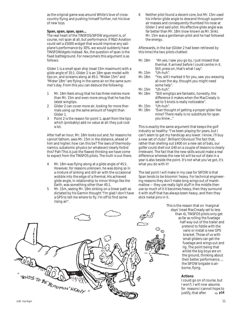as the original game was around White's love of crosscountry flying and pushing himself further, not his love of new toys.

#### **Span, span, span, span...**

The real heart of the TINSFOS/SIFOW argument is, of course, not span at all, but performance. If R&D Aviation could sell a £5000 widget that would improve any sailplane's performance by 30%, we would suddenly have TINSFOWidgets instead. No, the question of span is the fixed battleground. For newcomers this argument is as follows:

Glider 1 is a small span ship (read 15m maximum) with a glide angle of 35:1. Glider 2 is an 18m span model with tips on, and screams along at 45:1. "Mister 15m" and "Mister 18m" are flying in the same air on the same summer's day. From this you can deduce the following:

- 1 Mr. 18m feels smug that he has three metres more than Mr. 15m and even more smug that he has the latest wingtips.
- 2 Glider 2 can cover more air, looking for more thermals using up the same amount of height than Glider 1.
- 3 Point 2 is the reason for point 1, apart from the tips which (probably) add no value at all: they just cost a lot.

After half an hour, Mr. 18m looks out and, for reasons he cannot fathom, sees Mr. 15m in the distance, ahead of him and higher; how can this be? The laws of thermodynamics, subatomic physics (or whatever) clearly forbid this? Pah! This is just the flawed thinking we have come to expect from the TINSFOS pilots. The truth is out there.

- 4 Mr. 18m was flying along at a glide angle of 45:1. However, for reasons unknown, he was doing so in a mixture of sinking and still air with the occasional wobble into the edge of a thermal. His achieved glide angle, in relationship to minor things like the Earth, was something other than 45:1.
- 5 Mr. 15m, seeing Mr. 18m sinking on a linear path as dictated by his Garmin thought "I'm glad I don't have a GPS to tell me where to fly. I'm off to find some rising air".

6 Neither pilot found a decent core, but Mr. 15m used his inferior glide angle to descend through superior air masses and consequently thumbed his nose at Glider 2 and said pilot. His effective glide angle was far better than Mr. 18m (now known as Mr. Sink). Mr. 15m was a gentleman-pilot and he had followed the energy.

Afterwards, in the bar (Glider 2 had been retrieved by this time) the two pilots chatted:

| Mr. 18m | "Ah yes, I saw you go by, I just missed that     |
|---------|--------------------------------------------------|
|         | thermal. It arrived before I could centre in it. |
|         | Still, press on, that's what I say".             |
| Mr. 15m | "Uh-huh".                                        |

*Mr. 18m* "Yes, still I marked it for you, saw you weaving all over the sky, thought you might need some help".

*Mr. 15m* "Uh-huh".

- *Mr. 18m* "Still wingtips are fantastic, honestly, the difference it makes when the MacCready is set to 5 knots is really noticeable".
- *Mr. 15m* "Uh-huh".
- *Mr. 18m* "Ever thought of getting a proper glider like mine? There really is no substitute for span you know..."

This is exactly the same argument that keeps the golf industry so healthy: "I've been playing for years, but I can't seem to get my handicap any lower. I know, I'll buy a new set of clubs". Brilliant! Obvious! The fact that, rather than shelling out £400 on a new set of bats, our golfer could shell out £40 on a couple of lessons is clearly irrelevant. The fact that the new skills would make a real difference whereas the new kit will be out of date in a year is also beside the point. It's not what you've got, it's what you do with it!

The last point I will make in my case for SIFOW is that Span tends to be bloomin' heavy. For technical engineering reasons they don't make long wings out of marshmallow — they use really light stuff in the middle then use so much of it it becomes heavy, then they surround it with stuff that has always been heavy, and then they stick metal pins in it.



This is the reason that on 'marginal days' (read MacCready set to less than 4), TINSFOS pilots only get as far as rolling the fuselage half way out of the trailer and pretend to fiddle with the vario or install a new GPS bracket. Those of us with small gliders can get the fuselage and wings out and rig. The point being that whilst the big boys are on the ground, thinking about their better performance, ... the SIFOW brigade is airborne, *flying*.

#### **Actions**

I could go on of course, but I won't. I will now assume, for reasons I cannot hope to justify, that after  $\implies$  p16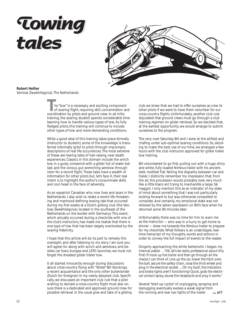# **Towing tales Towing tales**



#### **Robert Hellier**

Venlose Zweefvliegclub, The Netherlands

he "tow" is a necessary and exciting component of soaring flight, requiring skill, concentration and coordination by pilots and ground crew. In *ab initio* training, the soaring student spends considerable time learning how to handle various types of tow. As fully fledged pilots, this training will continue to include other types of tow and more demanding conditions.

While a good deal of this training takes place formally (instructor to student), some of the knowledge is transferred informally (pilot to pilot) through impromptu descriptions of real life occurrences. The most extreme of these are towing tales of hair-raising, near death experiences. Classics in this domain include the winch tow in a gusty crosswind with a glider full of water ballast, and the vicious, gut wrenching aerotow through rotor for a record flight. These tales have a wealth of information for other pilots but, let's face it, their real intent is to highlight the author's consummate skills and cool head in the face of adversity.

As an expatriot Canadian who now lives and soars in the Netherlands, I also wish to relate a recent life threatening and manhood-defining towing tale that occurred during my first weeks at a Dutch gliding club (the Venlose Zweefvliegclub, located in the southeast of the Netherlands on the border with Germany). This event, which actually occurred during a checkride with one of the club's instructors, has made me realize that there is one type of tow that has been largely overlooked by the soaring fraternity.

I hope that this article will do its part to remedy this oversight, and after listening to my story I am sure you will agree; for along with winch and aerotows, and besides car tows, bungee and JATO launches, we must not forget the dreaded glider trailer tow.

It all started innocently enough during discussions about cross-country flying with "Wilde" Bill Stockings, a recent acquaintance and the only other *buitenlander* (Dutch for foreigner) in my newly-adopted club. Specifically, we discussed an important club rule that a pilot wishing to declare a cross-country flight must also ensure there is a dedicated and approved ground crew for possible retrieval. In the usual give and take of a gliding club we knew that we had to offer ourselves as crew to other pilots if we were to have them volunteer for our cross-country flights. Unfortunately, another club rule stipulated that ground crews must go through a club training regimen on glider retrieval. So we decided that, at the earliest opportunity, we would arrange to submit ourselves to the program.

The very next Saturday Bill and I were at the airfield and chafing under sub-optimal soaring conditions. So, deciding to make the best use of our time, we arranged a few hours with the club instructor approved for glider trailer tow training.

Bill volunteered to go first, pulling out with a huge, shiny and white, fully loaded Nimbus trailer with his ancient, dark, mottled Fiat. Noting the disparity between car and trailer, I distinctly remember my impression that, from the air, this procession would probably look very much like a little black ant trying to manhandle a large, fat maggot. I only mention this as an indicator of my state of mind about something that I was not particularly looking forward to but was otherwise compelled to complete. And certainly, my emotional state was not relieved by the ashen expression on Bill's face when he returned some 90 minutes later.

Unfortunately there was no time for him to warn me as the instructor — who was in a hurry to get home to dinner — drew me towards the Nimbus trailer to prepare for my checkride. What follows is an unabridged, realtime transcript of my thoughts, words and actions in order to convey the full impact of events to the reader.

Gingerly approaching the white behemoth, I began my internal patter ... *"OK, let's be really professional about this. First I'll hook up the trailer and then go through all the checks I can think of. Line up the car, lower the hitch onto the ball, secure the safety chain, raise the third wheel and plug in the electrical socket .... Oh my God!, the indicators and brake lights aren't functioning! Quick, grab the electrical contact spray, douse the receptacle and pray it works."*

Several "start-up cycles" of unplugging, spraying and replugging eventually evokes a weak signal from the running and rear nav lights of the trailer. ➯ **p17**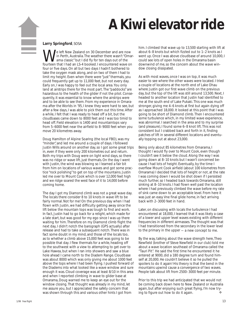# **A Kiwi elevator ride** ➠

#### **Larry Springford**, SOSA

e left New Zealand on 30 December and are now in Perth, Australia. The weather there wasn't "Omarama classic" but I did fly for ten days out of the fourteen that I had an LS-4 booked. I encountered wave on four or five days. On all but two days I hadn't bothered to take the oxygen mask along, and on two of them I had to limit my height. Even when there were "just" thermals, you could frequently get up to 11,000 feet, but not every day. Early on, I was happy to feel out the local area. You only land at airstrips there for the most part. The "paddocks" are hazardous to the health of the glider if not the pilot. Consequently, it was essential to know where the airstrips were and to be able to see them. From my experience in Omarama after the Worlds in '95, I knew they were hard to see, but after a few days, I was able to pick them out this time. After a while, I felt that I was ready to head off a bit, but the cloudbases came down to 8000 feet and I was too timid to head off. Field elevation is 1400 and mountaintops vary from 5–6000 feet near the airfield to 8–9000 feet when you move 20 kilometres away.

Doug Hamilton of Alpine Soaring (the local FBO), was my "minder", and led me around a couple of days. I followed Justin Wills around on another day, so I got some great trips in, even if they were only 200 kilometres out and return. Both my trips with Doug were on light wind days, so there was no ridge or wave lift, just thermals. On the day I went with Justin, the wind was blowing so I learned a fair bit from him on locations of various waves and got some practice "rock polishing" to get on top of the mountains. Justin led me over to Mount Cook which is over 12,000 feet high and we ridge soared the west face of it to 14,000 before coming home.

The day I got my Diamond climb was not a great wave day. The locals there consider 8 to 10 knots in wave lift to be fairly normal. Not for me! On the previous day when I had flown with Justin, we had difficulty getting away since the lift below the mountain tops was tough to find and work. In fact, Justin had to go back for a relight, which made for a late start, but was good for my ego since I was up there waiting for him. Therefore on my Diamond climb flight the next day, I didn't notch the barograph (GPS actually) after release and had to take a subsequent notch. There was in fact some doubt in my mind, and those of the locals too, as to whether a climb above 15,000 feet was going to be possible that day. I flew thermals for a while, heading off to the southwest with a view to attempting to get over to Lake Hawea, but when I ran into showers and saw a blue hole ahead I came north to the Diadem Range. Cloudbase was about 8000 which was only giving me about 1000 feet above the tops where I had been flying. I pushed forward of the Diadems into what looked like a wave window and sure enough it was. Cloud coverage was at least 8/10 in this area and when I reported climbing in wave to glider base at Omarama, Doug warned me to keep an eye out for the window closing. That thought was already in my mind, let me assure you, but I appreciated the safety concern that was shown through this and various other hints I got from

him. I climbed that wave up to 13,500 starting with lift at about 6–8 knots but which fizzled out to 1–2 knots as I went up. Once I was above cloudbase of around 10,000, I could see lots of open holes in the Omarama basin downwind of me, so the concern about the wave window closing dissipated.

As with most waves, once I was on top, it was much easier to see where the other waves were located. I tried a couple of locations at the north end of Lake Ohau where Justin got our first wave climb on the previous day, but the top of the lift was still around 13,500. Next, I headed to another location that Justin had identified to me at the south end of Lake Pukaki. This one was much stronger, giving me 4–6 knots at first but again dying off as I approached 18,000. It looked at this point that I was going to be short of Diamond climb. Then I encountered some turbulence which, in my limited wave experience, was abnormal. I searched in the area and to my surprise (and pleasure), I found some 6–8 knot lift. This was not consistent but I crabbed back and forth in it, finding patches of lift in several different locations and eventually topping out at about 23,000.

Being only about 85 kilometres from Omarama, I thought I would fly over to Mount Cook, even though I couldn't see it below the cloud. Along the way I was going down at 8–10 knots but I wasn't concerned because I had lots of height. Eventually, by the time I overflew Mount Cook airfield (about 100 kilometres from Omarama) I decided that lots of height or not, at the rate I was coming down I would be shot down if I persisted much further, so I headed back towards Omarama, still sinking at 8–10 knots. I had flown well past the location where I had previously climbed the wave before my rate of sink came down to an acceptable level. From here it was just an easy Vne final glide home, in fact arriving back with 2–3000 feet in hand.

Later, on discussing with locals the turbulence I had encountered at 18,000, I learned that it was likely a case of a lower and upper level waves existing with different frequencies in different airmasses. The thought was that I had transitioned from the secondary in the lower level to the primary in the upper — a new concept to me.

By the way, talking about the wave strength here, Theo Newfield (brother of Steve Newfield in our club) told me about a wave location southeast of Omarama called the "Tauri Pit". He said the first time he encountered it he entered at 9000, did a 180 degree turn and found himself at 20,000. He couldn't believe it so he pulled the spoilers to do it again! His theory is that the bend in the mountains upwind cause a convergence of two waves. People talk about lift from 2500–3000 feet per minute.

Prior to this trip we had anticipated that we would not be coming back down here to New Zealand or Australia again, but after enjoying such great flying, I'm now trying to figure out how to do it again. ❖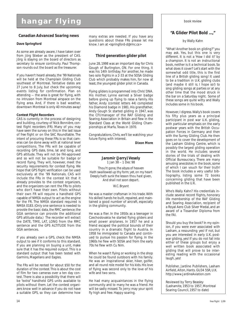# **hangar flying**

#### **Canadian Advanced Soaring news**

#### **Dave Springford**

As some are already aware, I have taken over from Jörg Stieber as the president of CAS. Jörg is staying on the board of directors as secretary to ensure continuity. Paul Thompson rounds out the board as the treasurer.

If you haven't heard already, the '99 Nationals will be held at the Champlain Gliding Club southeast of Montreal. Tentative dates are 27 June to 8 July, but check the upcoming events listing for confirmation. Plan on attending — the area is great for flying, with no intrusion from Montreal airspace on the flying area. And, if there is bad weather, downtown Montreal is only 40 minutes away!

#### **Contest Flight Recorders**

CAS is currently in the process of designing and building, courtesy of Nick Bonnière, contest flight recorders (FR). Many of you may have seen the survey on this in the last issue of *free flight* or on the SAC Roundtable. The intent of procuring these FRs is so that cameras can be done away with at national level competitions. The FRs will be capable of recording GPS date, time, lat and long, and GPS altitude. They will not be FAI-approved and so will not be suitable for badge or record flying. They will, however, meet the security requirements for contest flying. We hope that GPS flight verification can be used exclusively at the '99 Nationals. CAS will include the FRs in the contest kit that it already provides to the contest organizers, and the organizers can rent the FRs to pilots who don't have their own. Pilots without their own FR will require a handheld GPS capable of NMEA output to act as the engine for the FR. The NMEA standard required is NMEA 0183. (Only one sentence is needed to provide the basic data, the RMC sentence; the GGA sentence can provide the additional GPS altitude data.) The recorder will extract the DATE, TIME, LAT, LONG from the RMC sentence and the GPS ALTITUDE from the GGA sentences.

If you already own a GPS, check the NMEA output to see if it conforms to this standard. If you are planning on buying a unit, make sure that it has the required output. This is a standard output that has been tested with Garmins, Magellans and Eagles.

The FRs will be rented for about \$50 for the duration of the contest. This is about the cost of film for two cameras over a ten day contest. There is also a possibility that there will be "extra" handheld GPS units available to pilots without them. Let the contest organizers know well in advance if you do not have a suitable GPS, so they can determine how

many extras are needed. If you have any questions about these FRs please let me know. I am at *<springford-d@rmc.ca>*

#### **Third generation glider pilot**

June 28, 1998 was an important day for Chris Gough of Burlington, ON. For one thing, it was his 14th birthday. For another, he made two solo flights in a 2-33 at the SOSA Gliding Club which probably makes him, for now at least, the youngest glider pilot in Canada.

Flying gliders is programmed into Chris' DNA. His mother, Lynne earned a Silver badge before giving up flying to raise a family. His father, Andy (contest letters 44) completed his Diamond badge in 1981. His grandfather, Andy Gough Sr. started gliding in 1947, was the CFI/manager of the RAF Gliding and Soaring Association in Britain and flew in the Standard Class at the World Gliding Championships at Marfa, Texas in 1970.

Congratulations, Chris, we'll be watching your future flying with interest.

**Dixon More**

#### **Jaromir (Jerry) Vesely** 1 Jan 38 – 1 Dec 98

*Thou'rt gone, the abyss of heaven Hath swallowed up thy form; yet, on my heart Deeply hath sunk the lesson thou hast given, And shall not soon depart.*

#### *W.C. Bryant*

He was a master craftsman in his trade. With his skilled hands he built, repaired, and maintained a good number of aircraft, especially in the gliding community.

He was a flier. In the 1950s as a teenager in Czechoslovakia he started flying gliders and small power airplanes. In 1957 he and a friend escaped the political bounds of their country in a dramatic flight to Austria. In 1958 he immigrated to Canada and continued to pursue his passion for flying. In the 1960s he flew with SOSA and from the early 70s he flew with Cu Nim.

When he wasn't flying or working in the shop he could be found outdoors with his family. He was an inspirational skier, hiker, golfer, and all round role model for his kids. His love of flying was second only to the love of his wife and two sons.

He had many acquaintances in the flying community and to many he was a friend. He will be sadly missed. To Jerry: may your spirit fly high and free. Happy soaring.

book review

#### **"A Glider Pilot Bold ...,"**

#### by Wally Kahn

"What! Another book on gliding?" you may ask. Yes, but this one is very different. It is not a 'How I did it!' by a champion. It is not an instructional book, neither is it a technical book. So what does it cover? Let's start with the somewhat odd title, this is the first line of a British gliding song! It used to be a tradition in U.K. gliding clubs (and maybe it still is; I hope so!) to sing gliding songs at parties or at any other time that the mood struck in the bar on a Saturday night. Some of these songs are quite witty and Wally includes some in his book.

However, I digress. Wally's book covers his fifty plus years as a principal participant in post war U.K. gliding, with particular emphasis on the early postwar years with the British Occupation Forces in Germany and then with the Surrey Gliding Club. He then goes on to cover the development of the Lasham Gliding Centre, which is possibly the largest gliding operation in the world. He includes several stories of the trials of dealing with Official Bureaucracy. There are many amusing anecdotes in the book, some of which I can vouch for their truth! The book includes a very useful bibliography, listing some 72 books concerning gliding that have been published in the U.K.

Who's Wally Kahn? His credentials include several record flights, honorary life membership of the RAF Gliding and Soaring Association, recipient of a Royal Aero Club Silver Medal, and an award of a Tissandier Diploma from the FAI.

Should you buy the book? In my opinion, if you were ever associated with Lasham, a resounding yes! If not, but you are interested in early U.K. postwar gliding, yes! If you do not fall into either of these groups but enjoy a well written book associated with gliding that will prove to be interesting reading with the occasional laugh, yes!

Publisher, Jardine Publishers, Lasham Airfield, Alton, Hants. GU34 5SR, U.K. *http://www.JardineAviation.com*

Reviewed by Terry Beasley (Lashamite, 1953 to 1957, Montreal Soaring Council, 1957 to date)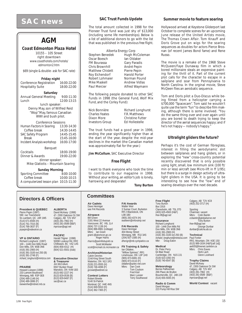# **SAC news** SAC Trust Funds Update Summer movie to feature soaring

## **AGM**

#### *Coast Edmonton Plaza Hotel*

10155 – 105 Street right downtown *www.coasthotels.com/hotels/ edmonton2.htm*

*\$69 (single & double- ask for SAC rate)*

#### **Friday night**

| .                                      |             |
|----------------------------------------|-------------|
| Conference Registration 16:00-22:00    |             |
| <b>Hospitality Suite</b>               | 18:00-22:00 |
|                                        |             |
| Saturday                               |             |
| <b>Annual General Meeting</b>          | 9:00-11:30  |
| Lunch                                  | 12:00-13:15 |
| lunch speaker:                         |             |
| Denny May, son of Wilfred Reid         |             |
| "Wop" May, famous Canadian             |             |
| WWI and bush pilot.                    |             |
|                                        |             |
| <b>Conference Sessions</b>             |             |
| Human Factors in Soaring               | 13:30-14:30 |
| Coffee break                           | 14:30-14:45 |
| <b>SAC Safety Program</b>              | 14:45-15:45 |
| <b>Break</b>                           | 15:45-16:00 |
| Incident Analysis workshop             | 16:00-17:00 |
| Banquet                                |             |
| Cocktails                              | 18:00-19:00 |
|                                        |             |
| Dinner & Awards                        | 19:00-22:00 |
| dinner speaker:                        |             |
| Mike Glatiotis - Mountain Soaring      |             |
| <b>Sunday Morning</b>                  |             |
| <b>Sporting Committee</b>              | 8:00-10:00  |
| Coffee break                           | 10:00-10:15 |
| A computerized lesson plan 10:15-11:30 |             |

#### **Directors & Officers**

**President & QUEBEC** Pierre Pepin (1997) 590 rue Townshend St–Lambert, QC J4R 1M5 (514) 671-6594 (H) (514) 761-7015 (B) (514) 768-3637 (F) *prpepin@videotron.ca*

#### **VP & ONTARIO**

Richard Longhurst (1997) 100 – 1446 Don Mills Road Don Mills, ON M3B 3N6 (416) 391-2900 (H) (416) 391-3100 ext 250 (B) (416) 391-2748 (F) *richard\_longhurst@mintzca.com*

#### **PRAIRIE**

Howard Loewen (1998) 233 Lamont Boulevard Winnipeg, MB R3P 0E8 (204) 489-1148 (H) (204) 489-3086 (F) *loewenhw@mbnet.mb.ca* **ALBERTA** David McAsey (1998) 47- 2300 Oakmoor Dr SW Calgary, AB T2V 4N7 (403) 281-7962 (H) (403) 281-0589 (B&F) *mprsoar@agt.net*

**PACIFIC** Harald Tilgner (1998) 50090 Lookout Rd, RR2 Chilliwack, BC V4Z 1A5 (604) 858-4312 (H) (604) 521-5501 (club)

#### **Executive Director & Treasurer** Jim McCollum 6507 Bunker Road Manotick, ON K4M 1B3 (613) 692-2227 (H)

 $(613)$  829-0536 $(B)$ (613) 829-9497 (F) *sac@sac.ca*

#### **SAC Trust Funds Update**

The total amount collected in 1998 for the Pioneer Trust fund was just shy of \$13,000 (including some life memberships). Below is a list of additional donors to go with the list that was published in the previous *free flight*.

|                     | Alberta Energy Corp |
|---------------------|---------------------|
| Stephen Benedek     | Hugh M              |
| Oscar Boesch        | lan Olda            |
| FM Bourassa         | Gary Par            |
| Chris Brownhill     | André P             |
| Matthew Chislett    | Pierre P            |
| Roy Eichendorf      | Harold F            |
| Robert Lohmaier     | Norman              |
| <b>Mike Maskell</b> | Andrew              |
| Paul Mercier        | Alfred W            |

lan Oldaker Gary Paradis André Pepin Pierre Pepin Harold Porter **Norman Pound Andrew Vidlas** Alfred Waymann

Hugh McColeman

The following people donated to other SAC Funds in 1998 (the General Fund, Wolf Mix Fund, and the Corley Fund):

| Nick Bonnière          | <b>Richard Longhurst</b> |
|------------------------|--------------------------|
| <b>Charles Yeates</b>  | F.R. Matthews            |
| Dixon More             | <b>Christine Futter</b>  |
| <b>Investors Group</b> | Ed Hollestelle           |

The trust funds had a good year in 1998, ending the year significantly higher than at the start of the year, despite the mid-year declines in the market (the Canadian market was approximately flat for the year.)

#### **Jim McCollum**, SAC Executive Director

#### **Free Flight**

I want to thank everyone who took the time to contribute to our magazine in 1998. Without your writing, an editor's job is lonely, harrowing and desperate!

**Tony Burton**

#### **Committees**

**Air Cadets**

Dave Hennigar see FAI Records

#### **Airspace**

Bill Green 2181 West 22 Avenue Vancouver, BC V6L 1L4 (604) 737-1136 (H) (604) 886-8981 (cottage) Mbrs: Ian Grant *grant.i@atomcon.gc.ca* Roger Harris *rharris@petrillobujold.ca* Scott McMaster

*scott@mcmail.cis.mcmaster.ca*

### **Archives/Historian** Calvin Devries 214d King Street South Waterloo, ON N2J 1R3 (519) 221-0555 (H) (519) 746-4096 (F)

*gccwat@webnet.ca* **Contest Letters** Robert Binette 5140 St-Patrick Montreal, QC H4E 4N5 (514) 849-5910 (H) (514) 362-7365 (F)

**FAI Awards** Walter Weir 3 Sumac Court, Burketon RR 2 Blackstock, ON L0B 1B0 (905) 263-4374 (H) *waltweir@inforamp.net*

**FAI Records** Dave Hennigar 404 Moray Street Winnipeg, MB R3J 3A5 (204) 837-1585 (H)

# **Flt Training & Safety** Ian Oldaker,

"Willow Spinney", RR1 Limehouse, ON L0P 1H0 (905) 873-6081 (H) (905) 873-0110 (F) *oldaker@aztec-net.com* Mbrs: Dan Cook Tom Coulson Fred Kisil Marc Lussier Terry Southwood

> **Radio & Comm** David Morgan 223 Pump Hill Rise SW

Richard Longhurst 100 - 1446 Don Mills Rd Don Mills, ON M3B 3N6 (416) 391-2900 (H) (416) 391-3100 ext 250 (B)

Mbr: Doug Eaton **Medical** Dr. Peter Perry 64 Blair Road Cambridge, ON N1S 2J1 (519) 623-1092 (H) (519) 740-6547 (B) **Meteorology** Bernie Palfreem 266 Place de Brullon Boucherville, QC J4B 2J9 (514) 655-5935 (H)

Hollywood arrived at Keystone Gliderport last October to complete scenes for an upcoming June release of the United Artists movie, *The Thomas Crown Affair*. Tom Knauff and Doris Grove put on wigs for the soaring sequences as doubles for actors Pierce Brosnan (of recent James Bond fame) and Rene Russo.

The movie is a remake of the 1968 Steve McQueen/Faye Dunaway film in which a bored millionaire steals an expensive painting for the thrill of it. Part of the current plot calls for the character to escape in a sailplane and soar from Pennsylvania to North Carolina. In the orginal movie, Steve McQeen flies an aerobatic sequence.

Tom and Doris pilot a Duo-Discus while being filmed from a helicopter carrying a \$700,000 "Spacecam". Tom said he wouldn't quite use the term "fun" to describe film making, although there is some involved. "You do the same thing over and over again until you are bored to death trying to keep the director of the aerial sequences happy; and if he's not happy — nobody's happy."

#### **Ultralight gliders the future?**

Perhaps it's the cost of German fibreglass, interest in filling the aerodynamic slot between sailplanes and hang gliders, or in exploring the "new" cross-country potential recently discovered that is only possible using light, small, low minimum sink (100 ft/ min or less) aircraft (see *Micro-lift* in ff 1/95); but there is a surge in design activity of ultralight gliders in the USA. It is going to be interesting to see how the "low" end of soaring develops over the next decade.

Calgary, AB T2V 4C8 (403) 252-3717 (H)

Sporting Chairman: vacant Mbrs: Colin Bantin *ccbantin@globalserve.net* **Tony Burton** *free-flt@agt.net* George Dunbar dunbar@calcna.ab.ca

#### *richard\_longhurst@mintzca.com* **Technical** Paul Fortier

RR2, Mountain, ON K0E 1S0 (613) 989-1634 (H&F[call 1st]) *ae605@freenet.carleton.ca* Chris Eaves Herb Lach Glenn Lockhard

**Trophy Claims** David McAsey 47, 2300 Oakmoor Dr SW Calgary, AB T2V 4N7 (403) 281-7962 (H) (403) 281-0589 (B&F) *mprsoar@agt.net*

**World Contest** vacant

#### **Free Flight** Tony Burton Box 1916 Claresholm, AB T0L 0T0 (403) 625-4563 (H&F) *free-flt@agt.net* **Insurance**

*dhengr@mb.sympatico.ca*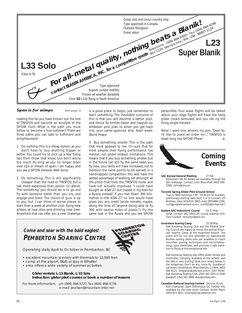

#### **Span is for wimps** from page 11

reading this far you have thrown out the lore of TINSFOS and become an accolyte of the SIFOW truth. What is the path you must follow to become a true believer? There are three paths you can take to fulfilment and enlightenment:

- 1 Do nothing. This is a cheap option, as you don't have to buy anything bigger or better. You could try to pick up a few flying tips from those that know, but don't worry too much. As long as you no longer drool over tips or dream of span, I am happy and you are a SIFOW believer. Well done.
- 2 Do something. This is still significantly cheaper than the road to TINSFOS, but a tad more expensive than option (1) above. The 'something' you should do is to *go and fly with someone better than you are, and engage your brain*. The choice of guru is up to you, but I can think of worse places to start than a week at another club, flying new gliders, at new sites, and drinking new beer. Anywhere that can offer you a new challenge

is a good place to begin; just remember to learn something. The inevitable outcome of this is that you will become a better pilot, and hence fly further, faster and happier (or whatever your plan is) when you get back into your same-spanned ship. Next week: World Peace.

3 Buy something *smaller*. This is the path that most appeals to me. I'm sure that for most people, their flying performance has mental, not glider-related, limitations. This means that if you buy something smaller, but in the future can still fly the same tasks you fly now, your skills will have increased, not to mention the extra points to be earned in a handicapped competition. You also have the added advantage of walking tall amongst all the pilots that took the TINSFOS route and have not actually improved. "I could have bought an ASW-27, but traded in my Astir for a Russia instead". If you had flown 300 kilometres in the ASW-27, no one would have given you any credit (snide remarks maybe, along the lines of, "anyone being able to fly 300 with twelve miles of plastic"). Fly the same task in the Russia and you are SIFOW

## **Come and soar with the bald eagles! PEMBERTON SOARING CENTRE**



Operating daily April to October in Pemberton, BC

- excellent mountain scenery with thermals to 12,500 feet
- camp at the airport, B&B, or stay in Whistler
- area offers a wide variety of summer activities

#### **Glider rentals: L-13 Blanik, L-33 Solo Instruction: glider pilot courses or book a number of lessons**

For more information, ph (604) 894-5727, fax (604) 894-5776 e-mail: jwatson@mountain-inter.net

*personified*. Your wave flights will be talked about, your ridge flights will have the hang glider crowd bemused, and you can rig the thing single-handed.

Wow! I want one, where's my pen. "Dear Sir, I'd like to place an order for...". TINSFOS is dead: long live SIFOW! Phew!



#### **SAC Annual General Meeting** 27 Feb

Edmonton, AB. All details are available through the SAC webpage. Contact: John Broomhall (403) 438- 3268, *<john@cips.ca>*

**Toronto Spring Glider Pilot Ground School** Tues or Wed evenings 7:30 - 10:30 pm for 8 weeks, preliminary starting date April 7 or 8. Contact: Ulf Boehlau: days (416)410-3883, eves (905)884-3166, *<ulf@problem.tantech.com>, <cm855@torfree.net>*

**Eastern SAC Instructors' Course** 21-27 May SOSA. Contact SAC office for course material. Info: Tom Coulson *<tcoulson@istar.ca>*

**Invermere Soaring Camp** 22-30 May East Kootenay Soaring Club and the Alberta Soaring Council are happy to revive the annual Moun-tain Soaring Camp at the Invermere Airport. The event will be run and attended by experienced Rockies soaring pilots who are available to coach mountain soaring techniques and micrometeorology, give checkrides, and promote a safe transition to flying at this exceptional site.

East Kootenay Soaring also offers glider rentals and checkrides. Camping available at the airfield, and the lake is very inviting! Soak your weary bones in the hotsprings. Don't be shy, come fly. Questions? call event coordinators: Mike Glatiotis, Cu Nim, (403) 282-6121 *<mglatiot@cadvision.com>*; Don Miller, East Kootenay Soaring Club, (250) 342-3201 or, Matt Kazakoff, (250) 342-3006 <*kaz@rockies.net>*

**Canadian National Soaring Contest** 28 June- 8 July AVV Champlain, Saint Dominique, QC. Further info available by the next issue. Contact: André Pepin (450) 923-3631, *<champlain@ videotron.ca>*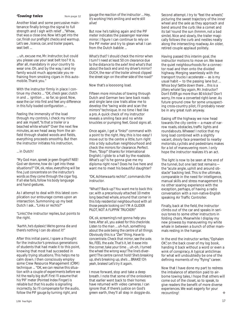#### **Towing tales** from page 12

Another blast and some percussive maintenance finally brings the signal to full strength and I sigh with relief ...*"Whew, that was a close one. Now let's get into the car, finish our preflight checks and warmup. Let's see , licence, car, and trailer papers, seat belt ...*

... uh, excuse me, Mr. Instructor, but could you please use your seat belt too? It is, after all, mandatory in your country to wear one. Oh, and by the way, I and my family would much appreciate you refraining from smoking cigars in this automobile. Thank you."

With the instructor firmly in place I continue my checks ... *"OK, check gear, clutch in and ... ignition ... so far, so good. Now, ease the car into first and feel any difference in this fully loaded configuration ...*

Feeling the immensity of the load through my controls, I check my mirror and ask myself, "*Is that a trailer or a beached white whale?"* Over the next few minutes, as we head away from the airfield through shaded woods and fields, everything proceeds smoothly. But then the instructor initiates his instruction,

#### ... in Dutch!

*"My God man, spreek je geen Engels!? NEE! God ver domme, how do I get into these situations!?" OK, ok, relax, everything will be fine. Just concentrate on the instructor's words as they come through the cigar fog. If all else fails, follow his body language and hand gestures.*

As I attempt to deal with this latest complication our entourage comes upon an intersection. Summoning up my best Dutch I ask... "Links or rechts?"

"Links", the instructor replies, but points to the right.

#### *"Aarhh, he's dyslexic! We're gonna die and there's nothing I can do about it!"*

After this initial panic, I spare a thought for the instructor's previous generations of students that had made it to this point, knowing that most had succeeded in equally trying situations. This helps me to calm down. I then consciously employ some Crew Resource Management (CRM) technique ... *"OK, we can resolve this situation with a couple of experiments before we hit the really big stuff. First I'll assume that his 'PIF' meter (Pointed Index Finger) is reliable but that his audio is signalling incorrectly. So I'll compensate for the audio, follow the PIF gauge by turning right, and*

*gauge the reaction of the instructor ... Hey, it's working! He's smiling and we're still alive!*

But now he's talking again and the PIF meter indicates the passenger rearview mirror. I figure I can continue to rely on the PIF meter and try to glean what I can from the Dutch babble ...

*What's that? I should check the mirror when I turn? I need at least 50 cm clearance due to the distance to the axle? And what's that about the back end and my driver's mirror? OUCH, the rear of the trailer almost clipped the street sign on the other side of the road!"*

Now that's a looooong load.

Fifteen more minutes of towing through Dutch and German two lane back roads and single lane cow trails allow me to develop the "swing wide and scan the mirrors" technique. In no time I feel like a pro. A quick check of my instructor reveals a smiling face and no white knuckles or pumping feet. Good signs all.

Once again, I get a *"links!"* command with a point to the right. Hey, this is too easy! I move out to the centre a little, turn right into a tidy suburban neighbourhood and check the mirrors for clearance. Perfect. Then, *"Stop!"* (thanks for International English). I glide to a halt by the roadside. What's up? Is he gonna give me my diploma right now? Does he live here and want me to meet his beautiful daughter?

*"OK, Achterwaarts rechts!"*, commands the instructor.

*"What!? Back-up? You want me to back this car, with a precariously attached 10 metre long beached whale, around that corner in this tidy residential neighbourhood with all those people looking on? I'M A GLIDER PILOT, NOT A FLIPPIN' TRUCKER!"*

*OK, ok, screaming's not gonna help you here. After all, you asked for this checkride. Listen to the man ... uh-huh, something about the axle being the centre of all things. Obviously this is a "Zen" thing. Have to concentrate. Check that mirror, see the axle. No, FEEL the axle. That's it, let it ease into the corner, take your time ... uh-oh, I turned the wheel the wrong way! The line's divergent! The centre cannot hold! She's breaking up, she's breaking up, she's ... BRAKE! Oh yeah, brakes! Let's try it again.*

I move forward, stop and take a deep breath. I note that some of the onlookers that earlier went back to their homes have returned with video cameras. I can ignore that. If there's justice on God's green earth, they'll all step in doggie-do.  $\bullet$  recounting!  $\bullet$   $\bullet$ 

Second attempt. I try to "feel the wheels", picturing the sweet trajectory of the inner wheel and the axle as they approach and bend around the curb: like a comet and its tail 'round the sun *(hmmm, not a bad simile)*. Nice and slowly, the trailer magically follows the curb and nestles neatly along the intersecting roadway. An older, retired couple applaud politely.

Having passed this interim goal, the instructor motions to move on. We leave the quiet neighbourhoods for a connector road and then onto the divided highway. Merging seamlessly with the transport trucks I accelerate — as is my usual habit — to the passing lane but ... *Whoa boy! Settle down there ... this is a jittery whale! Say again, Mr. Instructor? Don't EVER go more than 80 klicks!? Don't worry, I'm now a converted right-laner.* As future ground crew for some unsuspecting cross-country pilot, I'll probably never be in any great rush anyway.

Easing off the highway we now head towards the city centre — a maze of narrow roads, obstacles, traffic lights and roundabouts. *Wheeee!* I notice that my long load combined with a slightly vacant, drooly face presented to nearby motorists, cyclists and pedestrians makes for a lot of maneuvering room. I only hope the instructor realizes it's an act.

The light is now to be seen at the end of the tunnel, but one last test remains the "acute angle, uphill and around obstacle" backing test. This is the ultimate, comparable in the need for intelligence, manual skills and stress management to no other soaring experience with the exception, perhaps, of having a radio conversation with a non-native-English speaking Air Traffic Controller.

Finally, back at the field, the instructor climbs out of the car and speaks in serious tones to some other instructors in folding chairs. Meanwhile I display my new prowess by maneuvering my white whale in between a bunch of other mammals resting in the hangar.

In the end the instructor writes, "Ophalen OK", on the back cover of my log book, handing it back without a word or even a wink of conspiracy. A typical anticlimax for what will undoubtedly be one of the defining moments of my "flying" career.

Now that I have done my part to redress the imbalance of attention paid to airborne towing tales, I hope that others will come out of the closet, so to speak, to give readers the benefit of more diverse experiences. We wait eagerly for your recounting!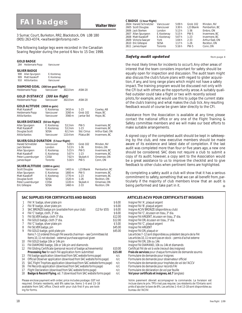# **Walter Weir FAI badges**

3 Sumac Court, Burketon, RR2, Blackstock, ON L0B 1B0 (905) 263-4374, *<waltweir@inforamp.net>*

The following badge legs were recorded in the Canadian Soaring Register during the period 6 Nov to 15 Dec 1998.

#### *GOLD BADGE*

284 Heidemarie Popp Vancouver

#### *SILVER BADGE*

908 Allan Spurgeon E. Kootenay<br>909 Matt Kazakoff E. Kootenay 909 Matt Kazakoff 910 Attila Kardos Vancouver

## *DIAMOND GOAL (300 km goal flight)*

Heidemarie Popp Vancouver 302.0 km ASW-20

#### *GOL***D DISTANCE (300 km flight)**

| Heidemarie Popp                                                                                                                                         | Vancouver                                                                        | 302.0 km                                                 | ASW-20                                                                                 |                                                                                            |
|---------------------------------------------------------------------------------------------------------------------------------------------------------|----------------------------------------------------------------------------------|----------------------------------------------------------|----------------------------------------------------------------------------------------|--------------------------------------------------------------------------------------------|
| <b>GOLD ALTITUDE</b><br>Matt Kazakoff<br>Heidemarie Popp<br>Attila Kardos                                                                               | (3000 m gain)<br>E. Kootenay<br>Vancouver<br>Vancouver                           | 3410 m<br>3260 m<br>3560 m                               | $1 - 23$<br>Grob 102<br>Jantar Std                                                     | Cowley, AB<br>Hope, BC<br>Hope, BC                                                         |
| <i><b>SILVER DISTANCE</b></i><br>Allan Spurgeon<br>Matt Kazakoff<br>Douglas Scott<br>Attila Kardos                                                      | (50 km flight)<br>E. Kootenay<br>E. Kootenay<br>SOSA<br>Vancouver                | 53.3 km<br>53.3 km<br>62.2 km<br>110.4 km                | <b>PW-5</b><br>$1-23$<br>Std. Cirrus<br>Pilatus B4                                     | Invermere, BC<br>Invermere, BC<br>Arthur East, ON<br>Invermere, BC                         |
| SILVER/GOLD DURATION (5 hour flight)<br><b>Harald Schnetzler</b><br>Jack Sterken<br>Allan Spurgeon<br>Matt Kazakoff<br>Peter Luxemburger<br>James Kayer | Vancouver<br>London<br>E. Kootenay<br>E. Kootenay<br>COSA<br>Toronto             | 5:09h<br>5:13h<br>5:15h<br>5:07h<br>7:02 h<br>5:16h      | Grob <sub>102</sub><br>$1 - 36$<br><b>PW-5</b><br>$1 - 23$<br>Skylark 4<br><b>PW-5</b> | Minden, NV<br>Embro, ON<br>Invermere, BC<br>Invermere, BC<br>Omemee, ON<br>Conn, ON        |
| <b>SILVER ALTITUDE</b><br><b>Scott Douglas</b><br>Allan Spurgeon<br>Matt Kazakoff<br>Douglas Scott<br>Peter Luxemburger<br>Fric Gillespie               | (1000 m gain)<br>Vancouver<br>E. Kootenay<br>E. Kootenay<br>SOSA<br>COSA<br>SOSA | 1402 m<br>1800 m<br>1770 m<br>1520 m<br>1220 m<br>1460 m | L23 Blanik<br><b>PW-5</b><br>$1 - 23$<br>$1 - 26$<br>Skylark 4<br>$2 - 33$             | Pemberton, BC<br>Invermere, BC<br>Invermere, BC<br>Rockton, ON<br>Omemee, ON<br>Rockton ON |

#### **SAC SUPPLIES FOR CERTIFICATES AND BADGES**

|                   | FAI 'A' badge, silver plate pin                                                | \$6.00  | Insigne FAI 'A', plaqué argent                                     |
|-------------------|--------------------------------------------------------------------------------|---------|--------------------------------------------------------------------|
| 2                 | FAI 'B' badge, silver plate pin                                                | \$6.00  | Insigne FAI 'B', plaqué argent                                     |
| 3                 | SAC BRONZE badge pin (available from your club)<br>$(12$ for \$55)             | \$6.00  | Insigne ACVV BRONZE (disponible au club)                           |
| 4                 | FAI 'C' badge, cloth, 3" dia.                                                  | \$6.00  | Insigne FAI 'C', écusson en tissu, 3" dia.                         |
| 5                 | FAI SILVER badge, cloth 3" dia.                                                | \$12.00 | Insigne FAI ARGENT, écusson en tissu, 3" dia.                      |
| 6                 | FAI GOLD badge, cloth 3" dia.                                                  | \$12.00 | Insigne FAI OR, écusson en tissu, 3" dia.                          |
|                   | FAI 'C' badge, silver plate pin                                                | \$5.00  | Insigne FAI 'C', plaqué argent                                     |
| 8                 | FAI SILVER badge, pin                                                          | \$45.00 | Insigne FAI ARGENT                                                 |
| 9                 | FAI GOLD badge, gold plate pin                                                 | \$45.00 | Insigne FAI OR, plaqué or                                          |
|                   | Items 7-12 ordered through FAI awards chairman - see Committees list           |         | Les articles 7-12 sont disponibles au président des prix de la FAI |
|                   | Items 10, 11 not stocked – external purchase approval given                    |         | Les articles 10, 11 ne sont pas en stock – permis d'achat externe  |
| 10 <sup>°</sup>   | FAI GOLD badge 10k or 14k pin                                                  |         | Insigne FAI OR, 10k ou 14k                                         |
| 11                | FAI DIAMOND badge, 10k or 14k pin and diamonds                                 |         | Insigne FAI DIAMAND, 10k ou 14k et diamands                        |
| $12 \overline{ }$ | FAI Gliding Certificate (personal record of badge achievements)                | \$10.00 | Certificat FAI de vol à voile (receuil des insignes)               |
|                   | <b>Processing fee for each FAI application form submitted</b>                  | \$15.00 | Frais de services pour chaque formulaire de demande soumis         |
| 13                | FAI badge application (download from SAC website forms page)                   | n/c     | Formulaire de demande pour insignes                                |
| 14                | Official Observer application (download from SAC website forms page)           | n/c     | Formulaire de demande pour observateur officiel                    |
| 15                | SAC Flight Trophies application (download from SAC website forms page)         | n/c     | Formulaire de demande pour trophées de vol de l'ACCV               |
| 16                | FAI Records application (download from SAC website forms page)                 | n/c     | Formulaire de demande pour records FAI                             |
| 17                | Flight Declaration (download from SAC website forms page)                      | n/c     | Formulaire de déclaration de vol par feuille                       |
| 18                | <b>Badge &amp; Record Flying, ed. 7 (download from SAC website forms page)</b> | n/c     | Vol pour certificats et insignes, éd.7 (anglais)                   |
|                   | Please enclose payment with order: price includes postage. GST not             |         | Votre paiement dévrait accompagner la commande La livra            |

Please enclose payment with order; price includes postage. GST not required. Ontario residents, add 8% sales tax. Items 1–6 and 13–18 available from SAC office. Check with your club first if you are looking for forms.

#### *C BADGE (1 hour flight)*

| 2604 Harald Schnetzler | Vancouver   | 5:09 h | Grob 102    | Minden, NV      |
|------------------------|-------------|--------|-------------|-----------------|
| 2605 Scott Douglas     | Vancouver   | 3:30h  | L23 Blanik  | Pemberton, BC   |
| 2606 Jack Sterken      | London      | 5:13h  | $1 - 36$    | Embro, ON       |
| 2607 Allan Spurgeon    | E. Kootenay | 5:15h  | <b>PW-5</b> | Invermere, BC   |
| 2608 Matt Kazakoff     | E. Kootenay | 5:07h  | $1-23$      | Invermere, BC   |
| 2609 Victoria Sawyer   | York        | 1:04 h | $2 - 33$    | Arthur East, ON |
| 2610 Eric Gillespie    | SOSA        | 1:17h  | $1 - 26$    | Rockton, ON     |
| 2611 James Kayer       | Toronto     | 5:16h  | <b>PW-5</b> | Conn. ON        |
|                        |             |        |             |                 |

#### **Safety audit updated state of the state of the state of the state of the state of the state of the state of the state of the state of the state of the state of the state of the state of the state of the state of the sta**

the most likely times for incidents to occur!). Any other areas of interest that the team considers important for safety should be equally open for inspection and discussion. The audit team might also discuss the club's future plans with regard to glider acquisition, if any, and long range plans which might not have a safety impact. The training program would be discussed not only with the CFI but with others as the opportunity arose. A suitably qualified outsider could take a flight or two with recently soloed pilots, for example, and would use this to judge the current state of the club's training and what makes the club tick. Any resulting feedback would of course be given later directly to the CFI.

Assistance from the Association is available at any time; please contact the national office or any one of the Flight Training & Safety committee members and we will make our best efforts to make suitable arrangements.

A signed copy of the completed audit should be kept in safekeeping by the club, and new executive members should be made aware of its existence and latest date of completion. If the last audit was completed more than four or five years ago, a new one should be considered. SAC does not require a club to submit a copy of its audit; however, a copy sent to the Association would be a great assistance to us to improve the checklist and to give feedback to other clubs when pertinent items are highlighted.

By completing a safety audit a club will show that it has a serious commitment to safety, something that we can all benefit from, particularly if the majority of club members know that an audit is being performed and take part in it. ❖

| ARTICLES ACVV POUR CERTIFICATS ET INSIGNES                         |
|--------------------------------------------------------------------|
| Insigne FAI 'A', plaqué argent                                     |
| Insigne FAI 'B', plaqué argent                                     |
| Insigne ACVV BRONZE (disponible au club)                           |
| Insigne FAI 'C', écusson en tissu, 3" dia.                         |
| Insigne FAI ARGENT, écusson en tissu, 3" dia.                      |
| Insigne FAI OR, écusson en tissu, 3" dia.                          |
| Insigne FAI 'C', plaqué argent                                     |
| Insigne FAI ARGENT                                                 |
| Insigne FAI OR, plaqué or                                          |
| Les articles 7-12 sont disponibles au président des prix de la FAI |
| Les articles 10, 11 ne sont pas en stock – permis d'achat externe  |
| Insigne FAI OR, 10k ou 14k                                         |
| Insigne FAI DIAMAND, 10k ou 14k et diamands                        |
| Certificat FAI de vol à voile (receuil des insignes)               |
| Frais de services pour chaque formulaire de demande soumis         |
| Formulaire de demande pour insignes                                |
| Formulaire de demande pour observateur officiel                    |
| Formulaire de demande pour trophées de vol de l'ACCV               |
| Formulaire de demande pour records FAI                             |
| Formulaire de déclaration de vol par feuille                       |
| Vol pour certificats et insignes, éd.7 (anglais)                   |
| Votre paiement dévrait accompagner la commande. La livraison est   |
|                                                                    |

Votre paiement dévrait accompagner la commande. La livraison est incluse dans le prix. TPS n'est pas requise. Les résidents de l'Ontario sont priés d'ajouter la taxe de 8%. Les articles 1–6 et 13-18 sont disponibles au bureau de l'ACVV.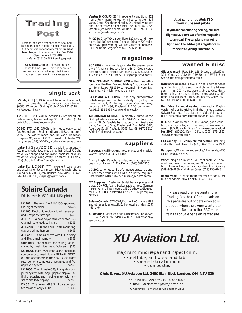

basic instruments, radio, Varicalc, open trailer. \$6000. Winnipeg Gliding Club (204) 837-8128 or *<info@wgc.mb.ca>*

**1-23**, #16, 1951, 2400h, beautifully refinished, all instruments, trailer. Asking \$11,000. Matt (250) 342-3006 or *<kaz@rockies.net>*

**DG202/17C**, 1981, 2700h, ship meticulously cared for. Excl gel coat, Becker radio/mic, ILEC computer/ vario, GPS, Winter mech back-up vario, Hamilton compass, O2, water. \$50,000. Based in Ephrata, WA Harry Peters (604)856-5456, *<petersh@uniserve.com>*

**Jantar Std 2**, ser #1207, 383h, basic instruments + PZL mech. vario, Rico elec vario, T&B, Dittel 720 ch. radio. Nice shape and annualled, enclosed all-alum trailer, tail dolly, wing covers. Contact: Paul Yardy, (905) 863 5728 *<Paul.Yardy@nt.com>*

**Jantar Std 2**, C-GGEA, 747h, excellent cond, alum enclosed trailer. Rico, g-meter, EdoAire radio, chute. Asking \$26,500. Réjean Dallaire (514) 449-6333 (W), (514) 635-3470 (H) *<rejean@cegerco.com>*

# *Solaire Canada*

Ed Hollestelle (519) 461-1464 ph/fx

**LX-20B** The new "no frills" IGC–approved GPS flight recorder *\$1495*

**LX-100** Electronic audio vario with averager and 2 response settings *\$495*

**ATR57** A new 2-1/4" panel-mounted 760 channel radio ready to install. *\$1395*

**ATR720A** 760 chan VHF with mounting<br>tray and wiring harness. \$1695 tray and wiring harness.

**ATR720C** Same as above with LCD display and 10 channel memory. *\$1895*

**SHM1010** Boom mike and wiring (as installed by most glider manufacturers. *\$175*

**LX-4000E** Flash-RAM stand-alone final glide computer *or* connects to any GPS (with NMEA output) *or* connects to the new LX-20B flight recorder for a completely integrated and FAI approved system. *\$2595*

**LX-5000** The ultimate GPS/final glide computer system with large graphic display, FAI flight recorder, and moving map with airspace and task displays. *\$5995*

**DX 50** The newest GPS flight data computer/recorder, only 2 LCDs. \$3495

**Ventus B**, C-GVRS "26", in excellent condition, 812 hours. Fully instrumented with Ilec computer, Ball vario, Dittel 720 channel radio, O2, Masak winglets and Cobra trailer. Call or e-mail Lee (403) 242-3056, *<coatesl@cadvision.com>* or Rod (403) 240-4374, *<crutcher@med.ucalgary.ca>*

**PIK20Bc**, C–GXWD, carbon fibre, 820h, vg cond., new paint, Ball 400 c/w netto & cruise, Edoaire 720 radio, chute, O2, gear warning. Call Lee Coates at (403) 242- 3056 or Denis Bergeron at (403) 526-4560.

#### **magazines**

**SOARING** — the monthly journal of the Soaring Society of America. Subscriptions US\$43. Credit cards accepted. Box E, Hobbs, NM 88241-7504. (505) 392- 1177, fax 392-8154. *<74521.116@compuserve.com>*

**NEW ZEALAND GLIDING KIWI** — the bimonthly journal of the New Zealand Gliding Association. Editor, John Roake. US\$32/year (seamail). Private Bag, Tauranga, NZ. *<john@roake.gen.nz>*

**SAILPLANE & GLIDING** - the only authoritative British magazine devoted entirely to gliding. Bi-monthly. BGA, Kimberley House, Vaughan Way, Leicester, LE1 4SG, England. £17.50 per annum. fax 0116 251-5939 *<bga@gliding.co.uk>*

**AUSTRALIAN GLIDING** — bimonthly journal of the Gliding Federation of Australia. \$A40.50 surface mail, airmail \$A55. Payable by cheque on an Australian bank, Bankcard, Visa, Mastercard. Box 1650, GPO, Adelaide, South Australia 5001. fax (03) 9379-5519. *<AdminOfficer@gfa.org.au>*

#### **suppliers**

**Barograph calibration,** most makes and models, Walter Chmela (416) 223-6487

**Flying High** Parachute sales, repairs, repacking, custom containers. Al MacDonald (403) 687-2225.

**LD-200**, variometre, hi-performance pressure transducer based varios with audio. No bottle required. Peter Masak (610) 738-9792, *masak@ix.netcom.com*

**MZ Supplies** Dealer for Schleicher sailplanes and parts, CONFOR foam, Becker radios, most German instruments. Uli Werneburg,1450 Goth Ave, Gloucester, ON K1T 1E4 , ph/fax (613) 523-2581 *mgmzaqua@ cmw.ca*

**Solaire Canada** SZD-55-1, Krosno, PW5, trailers, GPS and other sailplane stuff. Ed Hollestelle ph/fax (519) 461-1464.

**XU Aviation** Glider repairs in all materials. Chris Eaves (519) 452-7999, fax (519) 452-0075, *<xu-aviation@ sympatico.ca>*

#### **Used sailplanes WANTED from clubs and pilots**

**If you are considering selling, call** *free flight* **now, don't wait for the magazine**

**to appear! The sailplane market is tight, and the editor gets regular calls**

**to see if anything is available.**

#### **wanted & misc**

**Glider wanted** Used LS4, LS6, Discus-b, Glasflügel 304, Ventus-C, ASW19, ASW20, or ASW24. Ernst Schneider *<ews@compuma.com>*

**Instructors wanted** Aéro Club des Outardes needs qualified instructors and towpilots for the 99 season – min. 200 hours. *Aéro Club des Outardes à besoin d'instructeurs et pilotes remorqueur qualifiés pour la saison 1999 – min. 200 heures.* Gerry (450) 621-4891; Daniel (450) 628-5116.

**Bergfalke III manual wanted** We need an English version of our Bergfalke III flight manual. Contact: Sylvain Bourque, Association de Vol à Voile Champlain, *<champlain@videotron.ca>*, (514) 641-3913.

**ILEC SB-7** variometer, 2 **SB-7** varios, good condition, working order, with manuals, no flask needed, asking \$US500 each. One 57mm **averager readout for SB-7**, \$US150. Kevin Clifton, (306) 978-1832, *<kev@envistatech.com>*

**L13 canopy, L13 complete tail section** including skid with wheel. Hans Lohr, (905) 509-2356 after 1900.

**Barograph**, Winter, ink and smoke, 12 km scale, \$250 Gilles (450) 377-5737.

**Winch**, single drum with 3500 ft of cable, V-8 powered, very low time on engine. On single axle with hitch. Excellent economical launches. Eric Durance (519) 969-7889, Kurt Moser (eves) (519) 250-6748.

**Radio trade** – a panel mounted radio for an ICOM IC-A2 handheld. Mike Cook (250) 427-5471

Please read the fine print in the Trading Post box. Often the ads on this page are out of date or an ad is dropped when the owner wants it to continue. Note also that SAC maintains a For Sale page on its website.

# **XU Aviation Ltd.**

major and minor repair and inspection in:

• steel tube, and wood and fabric • stressed skin aluminum • composites

**Chris Eaves, XU Aviation Ltd, 2450 Blair Blvd, London, ON N5V 3Z9**

ph (519) 452-7999, fax (519) 452-0075 e-mail: xu-aviation@sympatico.ca TC Approved Maintenance Organization 24-88